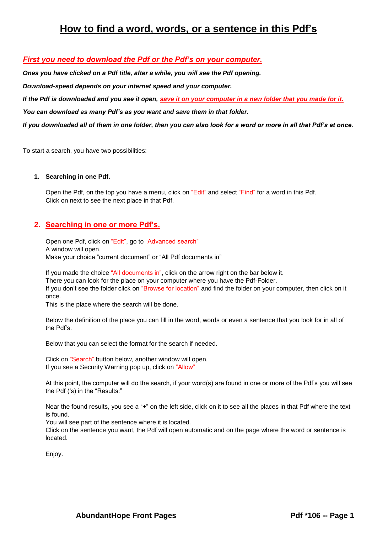# **How to find a word, words, or a sentence in this Pdf's**

#### *First you need to download the Pdf or the Pdf's on your computer.*

*Ones you have clicked on a Pdf title, after a while, you will see the Pdf opening.*

*Download-speed depends on your internet speed and your computer.*

*If the Pdf is downloaded and you see it open, save it on your computer in a new folder that you made for it.*

*You can download as many Pdf's as you want and save them in that folder.*

*If you downloaded all of them in one folder, then you can also look for a word or more in all that Pdf's at once.*

#### To start a search, you have two possibilities:

#### **1. Searching in one Pdf.**

Open the Pdf, on the top you have a menu, click on "Edit" and select "Find" for a word in this Pdf. Click on next to see the next place in that Pdf.

#### **2. Searching in one or more Pdf's.**

Open one Pdf, click on "Edit", go to "Advanced search" A window will open. Make your choice "current document" or "All Pdf documents in"

If you made the choice "All documents in", click on the arrow right on the bar below it. There you can look for the place on your computer where you have the Pdf-Folder. If you don't see the folder click on "Browse for location" and find the folder on your computer, then click on it once.

This is the place where the search will be done.

Below the definition of the place you can fill in the word, words or even a sentence that you look for in all of the Pdf's.

Below that you can select the format for the search if needed.

Click on "Search" button below, another window will open. If you see a Security Warning pop up, click on "Allow"

At this point, the computer will do the search, if your word(s) are found in one or more of the Pdf's you will see the Pdf ('s) in the "Results:"

Near the found results, you see a "+" on the left side, click on it to see all the places in that Pdf where the text is found.

You will see part of the sentence where it is located.

Click on the sentence you want, the Pdf will open automatic and on the page where the word or sentence is located.

Enjoy.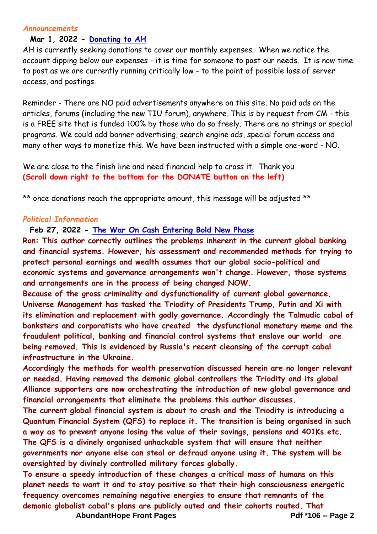#### *Announcements*

### **Mar 1, 2022 - [Donating to AH](http://abundanthope.net/pages/Announcements_4/Donating-to-AH.shtml)**

AH is currently seeking donations to cover our monthly expenses. When we notice the account dipping below our expenses - it is time for someone to post our needs. It is now time to post as we are currently running critically low - to the point of possible loss of server access, and postings.

Reminder - There are NO paid advertisements anywhere on this site. No paid ads on the articles, forums (including the new TIU forum), anywhere. This is by request from CM - this is a FREE site that is funded 100% by those who do so freely. There are no strings or special programs. We could add banner advertising, search engine ads, special forum access and many other ways to monetize this. We have been instructed with a simple one-word - NO.

We are close to the finish line and need financial help to cross it. Thank you **(Scroll down right to the bottom for the DONATE button on the left)**

\*\* once donations reach the appropriate amount, this message will be adjusted \*\*

#### *Political Information*

**Feb 27, 2022 - [The War On Cash Entering Bold New Phase](http://abundanthope.net/pages/Political_Information_43/The-War-On-Cash-Entering-Bold-New-Phase.shtml)**

**Ron: This author correctly outlines the problems inherent in the current global banking and financial systems. However, his assessment and recommended methods for trying to protect personal earnings and wealth assumes that our global socio-political and economic systems and governance arrangements won't change. However, those systems and arrangements are in the process of being changed NOW.**

**Because of the gross criminality and dysfunctionality of current global governance, Universe Management has tasked the Triodity of Presidents Trump, Putin and Xi with its elimination and replacement with godly governance. Accordingly the Talmudic cabal of banksters and corporatists who have created the dysfunctional monetary meme and the fraudulent political, banking and financial control systems that enslave our world are being removed. This is evidenced by Russia's recent cleansing of the corrupt cabal infrastructure in the Ukraine.**

**Accordingly the methods for wealth preservation discussed herein are no longer relevant or needed. Having removed the demonic global controllers the Triodity and its global Alliance supporters are now orchestrating the introduction of new global governance and financial arrangements that eliminate the problems this author discusses.**

**The current global financial system is about to crash and the Triodity is introducing a Quantum Financial System (QFS) to replace it. The transition is being organised in such a way as to prevent anyone losing the value of their savings, pensions and 401Ks etc. The QFS is a divinely organised unhackable system that will ensure that neither governments nor anyone else can steal or defraud anyone using it. The system will be oversighted by divinely controlled military forces globally.**

AbundantHope Front Pages **Pdf \*106** -- Page 2 **To ensure a speedy introduction of these changes a critical mass of humans on this planet needs to want it and to stay positive so that their high consciousness energetic frequency overcomes remaining negative energies to ensure that remnants of the demonic globalist cabal's plans are publicly outed and their cohorts routed. That**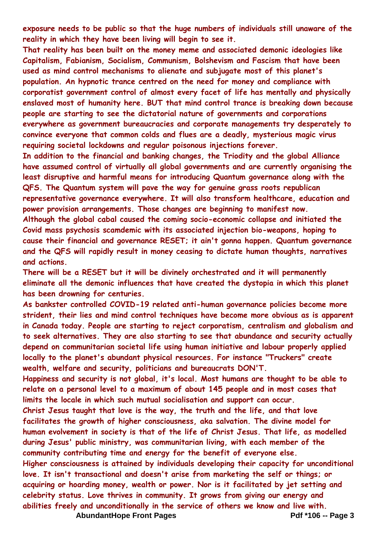**exposure needs to be public so that the huge numbers of individuals still unaware of the reality in which they have been living will begin to see it.**

**That reality has been built on the money meme and associated demonic ideologies like Capitalism, Fabianism, Socialism, Communism, Bolshevism and Fascism that have been used as mind control mechanisms to alienate and subjugate most of this planet's population. An hypnotic trance centred on the need for money and compliance with corporatist government control of almost every facet of life has mentally and physically enslaved most of humanity here. BUT that mind control trance is breaking down because people are starting to see the dictatorial nature of governments and corporations everywhere as government bureaucracies and corporate managements try desperately to convince everyone that common colds and flues are a deadly, mysterious magic virus requiring societal lockdowns and regular poisonous injections forever.**

**In addition to the financial and banking changes, the Triodity and the global Alliance have assumed control of virtually all global governments and are currently organising the least disruptive and harmful means for introducing Quantum governance along with the QFS. The Quantum system will pave the way for genuine grass roots republican representative governance everywhere. It will also transform healthcare, education and power provision arrangements. Those changes are beginning to manifest now. Although the global cabal caused the coming socio-economic collapse and initiated the Covid mass psychosis scamdemic with its associated injection bio-weapons, hoping to cause their financial and governance RESET; it ain't gonna happen. Quantum governance and the QFS will rapidly result in money ceasing to dictate human thoughts, narratives and actions.**

**There will be a RESET but it will be divinely orchestrated and it will permanently eliminate all the demonic influences that have created the dystopia in which this planet has been drowning for centuries.**

**As bankster controlled COVID-19 related anti-human governance policies become more strident, their lies and mind control techniques have become more obvious as is apparent in Canada today. People are starting to reject corporatism, centralism and globalism and to seek alternatives. They are also starting to see that abundance and security actually depend on communitarian societal life using human initiative and labour properly applied locally to the planet's abundant physical resources. For instance "Truckers" create wealth, welfare and security, politicians and bureaucrats DON'T.**

**Happiness and security is not global, it's local. Most humans are thought to be able to relate on a personal level to a maximum of about 145 people and in most cases that limits the locale in which such mutual socialisation and support can occur.**

**Christ Jesus taught that love is the way, the truth and the life, and that love facilitates the growth of higher consciousness, aka salvation. The divine model for human evolvement in society is that of the life of Christ Jesus. That life, as modelled during Jesus' public ministry, was communitarian living, with each member of the community contributing time and energy for the benefit of everyone else.**

**Higher consciousness is attained by individuals developing their capacity for unconditional love. It isn't transactional and doesn't arise from marketing the self or things; or acquiring or hoarding money, wealth or power. Nor is it facilitated by jet setting and celebrity status. Love thrives in community. It grows from giving our energy and abilities freely and unconditionally in the service of others we know and live with.**

AbundantHope Front Pages **Pdf** \*106 -- Page 3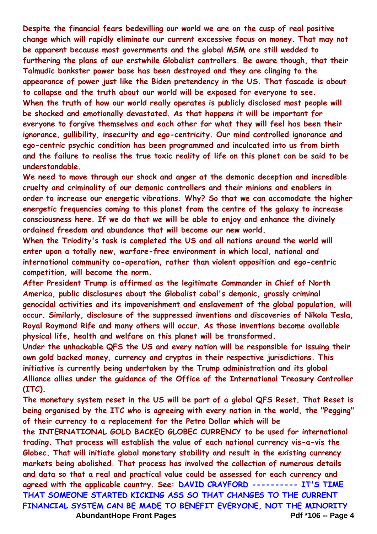**Despite the financial fears bedevilling our world we are on the cusp of real positive change which will rapidly eliminate our current excessive focus on money. That may not be apparent because most governments and the global MSM are still wedded to furthering the plans of our erstwhile Globalist controllers. Be aware though, that their Talmudic bankster power base has been destroyed and they are clinging to the appearance of power just like the Biden pretendency in the US. That fascade is about to collapse and the truth about our world will be exposed for everyone to see. When the truth of how our world really operates is publicly disclosed most people will be shocked and emotionally devastated. As that happens it will be important for everyone to forgive themselves and each other for what they will feel has been their ignorance, gullibility, insecurity and ego-centricity. Our mind controlled ignorance and ego-centric psychic condition has been programmed and inculcated into us from birth and the failure to realise the true toxic reality of life on this planet can be said to be understandable.**

**We need to move through our shock and anger at the demonic deception and incredible cruelty and criminality of our demonic controllers and their minions and enablers in order to increase our energetic vibrations. Why? So that we can accomodate the higher energetic frequencies coming to this planet from the centre of the galaxy to increase consciousness here. If we do that we will be able to enjoy and enhance the divinely ordained freedom and abundance that will become our new world.**

**When the Triodity's task is completed the US and all nations around the world will enter upon a totally new, warfare-free environment in which local, national and international community co-operation, rather than violent opposition and ego-centric competition, will become the norm.**

**After President Trump is affirmed as the legitimate Commander in Chief of North America, public disclosures about the Globalist cabal's demonic, grossly criminal genocidal activities and its impoverishment and enslavement of the global population, will occur. Similarly, disclosure of the suppressed inventions and discoveries of Nikola Tesla, Royal Raymond Rife and many others will occur. As those inventions become available physical life, health and welfare on this planet will be transformed.**

**Under the unhackable QFS the US and every nation will be responsible for issuing their own gold backed money, currency and cryptos in their respective jurisdictions. This initiative is currently being undertaken by the Trump administration and its global Alliance allies under the guidance of the Office of the International Treasury Controller (ITC).**

**The monetary system reset in the US will be part of a global QFS Reset. That Reset is being organised by the ITC who is agreeing with every nation in the world, the "Pegging" of their currency to a replacement for the Petro Dollar which will be** 

AbundantHope Front Pages **Pdf** \*106 -- Page 4 **the INTERNATIONAL GOLD BACKED GLOBEC CURRENCY to be used for international trading. That process will establish the value of each national currency vis-a-vis the Globec. That will initiate global monetary stability and result in the existing currency markets being abolished. That process has involved the collection of numerous details and data so that a real and practical value could be assessed for each currency and agreed with the applicable country. See: DAVID CRAYFORD ---------- IT'S TIME THAT SOMEONE STARTED KICKING ASS SO THAT CHANGES TO THE CURRENT FINANCIAL SYSTEM CAN BE MADE TO BENEFIT EVERYONE, NOT THE MINORITY**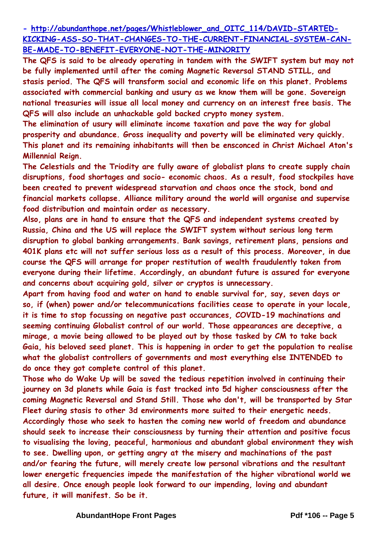**- [http://abundanthope.net/pages/Whistleblower\\_and\\_OITC\\_114/DAVID-STARTED-](http://abundanthope.net/pages/Whistleblower_and_OITC_114/DAVID-STARTED-KICKING-ASS-SO-THAT-CHANGES-TO-THE-CURRENT-FINANCIAL-SYSTEM-CAN-BE-MADE-TO-BENEFIT-EVERYONE-NOT-THE-MINORITY)[KICKING-ASS-SO-THAT-CHANGES-TO-THE-CURRENT-FINANCIAL-SYSTEM-CAN-](http://abundanthope.net/pages/Whistleblower_and_OITC_114/DAVID-STARTED-KICKING-ASS-SO-THAT-CHANGES-TO-THE-CURRENT-FINANCIAL-SYSTEM-CAN-BE-MADE-TO-BENEFIT-EVERYONE-NOT-THE-MINORITY)[BE-MADE-TO-BENEFIT-EVERYONE-NOT-THE-MINORITY](http://abundanthope.net/pages/Whistleblower_and_OITC_114/DAVID-STARTED-KICKING-ASS-SO-THAT-CHANGES-TO-THE-CURRENT-FINANCIAL-SYSTEM-CAN-BE-MADE-TO-BENEFIT-EVERYONE-NOT-THE-MINORITY)**

**The QFS is said to be already operating in tandem with the SWIFT system but may not be fully implemented until after the coming Magnetic Reversal STAND STILL, and stasis period. The QFS will transform social and economic life on this planet. Problems associated with commercial banking and usury as we know them will be gone. Sovereign national treasuries will issue all local money and currency on an interest free basis. The QFS will also include an unhackable gold backed crypto money system.**

**The elimination of usury will eliminate income taxation and pave the way for global prosperity and abundance. Gross inequality and poverty will be eliminated very quickly. This planet and its remaining inhabitants will then be ensconced in Christ Michael Aton's Millennial Reign.**

**The Celestials and the Triodity are fully aware of globalist plans to create supply chain disruptions, food shortages and socio- economic chaos. As a result, food stockpiles have been created to prevent widespread starvation and chaos once the stock, bond and financial markets collapse. Alliance military around the world will organise and supervise food distribution and maintain order as necessary.**

**Also, plans are in hand to ensure that the QFS and independent systems created by Russia, China and the US will replace the SWIFT system without serious long term disruption to global banking arrangements. Bank savings, retirement plans, pensions and 401K plans etc will not suffer serious loss as a result of this process. Moreover, in due course the QFS will arrange for proper restitution of wealth fraudulently taken from everyone during their lifetime. Accordingly, an abundant future is assured for everyone and concerns about acquiring gold, silver or cryptos is unnecessary.**

**Apart from having food and water on hand to enable survival for, say, seven days or so, if (when) power and/or telecommunications facilities cease to operate in your locale, it is time to stop focussing on negative past occurances, COVID-19 machinations and seeming continuing Globalist control of our world. Those appearances are deceptive, a mirage, a movie being allowed to be played out by those tasked by CM to take back Gaia, his beloved seed planet. This is happening in order to get the population to realise what the globalist controllers of governments and most everything else INTENDED to do once they got complete control of this planet.**

**Those who do Wake Up will be saved the tedious repetition involved in continuing their journey on 3d planets while Gaia is fast tracked into 5d higher consciousness after the coming Magnetic Reversal and Stand Still. Those who don't, will be transported by Star Fleet during stasis to other 3d environments more suited to their energetic needs. Accordingly those who seek to hasten the coming new world of freedom and abundance should seek to increase their consciousness by turning their attention and positive focus to visualising the loving, peaceful, harmonious and abundant global environment they wish to see. Dwelling upon, or getting angry at the misery and machinations of the past and/or fearing the future, will merely create low personal vibrations and the resultant lower energetic frequencies impede the manifestation of the higher vibrational world we all desire. Once enough people look forward to our impending, loving and abundant future, it will manifest. So be it.**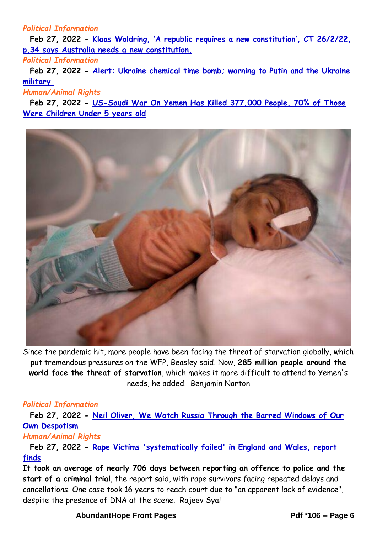## *Political Information*

**Feb 27, 2022 - [Klaas Woldring, 'A republic requires a new constitution', CT 26/2/22,](http://abundanthope.net/pages/Political_Information_43/Klaas-Woldring-A-republic-requires-a-new-constitution-CT-26-2-22-p-34-says-Australia-needs-a-new-constitution.shtml)  [p.34 says Australia needs a new constitution.](http://abundanthope.net/pages/Political_Information_43/Klaas-Woldring-A-republic-requires-a-new-constitution-CT-26-2-22-p-34-says-Australia-needs-a-new-constitution.shtml)**

*Political Information*

**Feb 27, 2022 - [Alert: Ukraine chemical time bomb; warning to Putin and the Ukraine](http://abundanthope.net/pages/Political_Information_43/Alert-Ukraine-chemical-time-bomb-warning-to-Putin-and-the-Ukraine-military.shtml)  [military](http://abundanthope.net/pages/Political_Information_43/Alert-Ukraine-chemical-time-bomb-warning-to-Putin-and-the-Ukraine-military.shtml)**

*Human/Animal Rights*

**Feb 27, 2022 - [US-Saudi War On Yemen Has Killed 377,000 People, 70% of Those](http://abundanthope.net/pages/Human_Animal_Rights_104/US-Saudi-War-On-Yemen-Has-Killed-377-000-People-70-of-Those-Were-Children-Under-5-years-old.shtml)  [Were Children Under 5 years old](http://abundanthope.net/pages/Human_Animal_Rights_104/US-Saudi-War-On-Yemen-Has-Killed-377-000-People-70-of-Those-Were-Children-Under-5-years-old.shtml)**



Since the pandemic hit, more people have been facing the threat of starvation globally, which put tremendous pressures on the WFP, Beasley said. Now, **285 million people around the world face the threat of starvation**, which makes it more difficult to attend to Yemen's needs, he added. Benjamin Norton

### *Political Information*

**Feb 27, 2022 - [Neil Oliver, We Watch Russia Through the Barred Windows of Our](http://abundanthope.net/pages/Political_Information_43/Neil-Oliver-We-Watch-Russia-Through-the-Barred-Windows-of-Our-Own-Despotism.shtml)  [Own Despotism](http://abundanthope.net/pages/Political_Information_43/Neil-Oliver-We-Watch-Russia-Through-the-Barred-Windows-of-Our-Own-Despotism.shtml)**

### *Human/Animal Rights*

**Feb 27, 2022 - [Rape Victims 'systematically failed' in England and Wales, report](http://abundanthope.net/pages/Human_Animal_Rights_104/Rape-victims-systematically-failed-in-England-and-Wales-report-finds.shtml)  [finds](http://abundanthope.net/pages/Human_Animal_Rights_104/Rape-victims-systematically-failed-in-England-and-Wales-report-finds.shtml)**

**It took an average of nearly 706 days between reporting an offence to police and the start of a criminal trial**, the report said, with rape survivors facing repeated delays and cancellations. One case took 16 years to reach court due to "an apparent lack of evidence", despite the presence of DNA at the scene. Rajeev Syal

### AbundantHope Front Pages **Pdf \*106** -- Page 6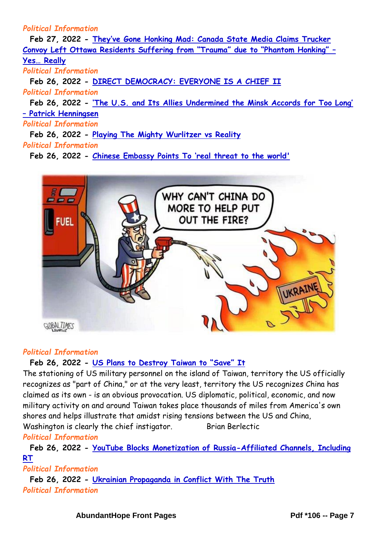## *Political Information*

**Feb 27, 2022 - [They've Gone Honking Mad: Canada State Media Claims Trucker](http://abundanthope.net/pages/Political_Information_43/They-ve-Gone-Honking-Mad-Canada-State-Media-Claims-Trucker-Convoy-Left-Ottawa-Residents-Suffering-from-Trauma-due-to-Phantom-Honking-Yes-Really.shtml)  C[onvoy Left Ottawa Residents Suffering from "Trauma" due to "Phantom Honking" –](http://abundanthope.net/pages/Political_Information_43/They-ve-Gone-Honking-Mad-Canada-State-Media-Claims-Trucker-Convoy-Left-Ottawa-Residents-Suffering-from-Trauma-due-to-Phantom-Honking-Yes-Really.shtml) [Yes… Really](http://abundanthope.net/pages/Political_Information_43/They-ve-Gone-Honking-Mad-Canada-State-Media-Claims-Trucker-Convoy-Left-Ottawa-Residents-Suffering-from-Trauma-due-to-Phantom-Honking-Yes-Really.shtml)** *Political Information* **Feb 26, 2022 - [DIRECT DEMOCRACY: EVERYONE IS A CHIEF II](http://abundanthope.net/pages/Political_Information_43/DIRECT-DEMOCRACY-EVERYONE-IS-A-CHIEF-II.shtml)** *Political Information* **Feb 26, 2022 - ['The U.S. and Its Allies Undermined the Minsk Accords for Too Long'](http://abundanthope.net/pages/Political_Information_43/The-U-S-and-Its-Allies-Undermined-the-Minsk-Accords-for-Too-Long-Patrick-Henningsen.shtml)  – [Patrick Henningsen](http://abundanthope.net/pages/Political_Information_43/The-U-S-and-Its-Allies-Undermined-the-Minsk-Accords-for-Too-Long-Patrick-Henningsen.shtml)** *Political Information* **Feb 26, 2022 - [Playing The Mighty Wurlitzer vs Reality](http://abundanthope.net/pages/Political_Information_43/Playing-The-Mighty-Wurlitzer-vs-Reality.shtml)** *Political Information* **Feb 26, 2022 - [Chinese Embassy Points To 'real threat to the world'](http://abundanthope.net/pages/Political_Information_43/Chinese-Embassy-Points-To-real-threat-to-the-world.shtml)**



# *Political Information*

# **Feb 26, 2022 - [US Plans to Destroy Taiwan to "Save" It](http://abundanthope.net/pages/Political_Information_43/US-Plans-to-Destroy-Taiwan-to-Save-It.shtml)**

The stationing of US military personnel on the island of Taiwan, territory the US officially recognizes as "part of China," or at the very least, territory the US recognizes China has claimed as its own - is an obvious provocation. US diplomatic, political, economic, and now military activity on and around Taiwan takes place thousands of miles from America's own shores and helps illustrate that amidst rising tensions between the US and China, Washington is clearly the chief instigator. Brian Berlectic

# *Political Information*

**Feb 26, 2022 - [YouTube Blocks Monetization of Russia-Affiliated Channels, Including](http://abundanthope.net/pages/Political_Information_43/YouTube-Blocks-Monetization-of-Russia-Affiliated-Channels-Including-RT.shtml)  [RT](http://abundanthope.net/pages/Political_Information_43/YouTube-Blocks-Monetization-of-Russia-Affiliated-Channels-Including-RT.shtml)**

# *Political Information*

**Feb 26, 2022 - [Ukrainian Propaganda in Conflict With The Truth](http://abundanthope.net/pages/Political_Information_43/Ukrainian-Propaganda-in-Conflict-With-The-Truth.shtml)** *Political Information*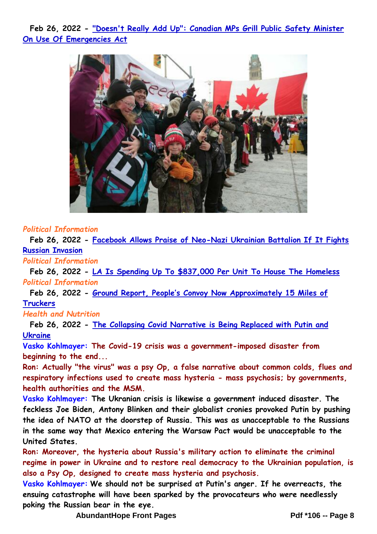**Feb 26, 2022 - ["Doesn't Really Add Up": Canadian MPs Grill Public Safety Minister](http://abundanthope.net/pages/Political_Information_43/Doesn-t-Really-Add-Up-Canadian-MPs-Grill-Public-Safety-Minister-On-Use-Of-Emergencies-Act.shtml)  [On Use Of Emergencies Act](http://abundanthope.net/pages/Political_Information_43/Doesn-t-Really-Add-Up-Canadian-MPs-Grill-Public-Safety-Minister-On-Use-Of-Emergencies-Act.shtml)**



#### *Political Information*

**Feb 26, 2022 - [Facebook Allows Praise of Neo-Nazi Ukrainian Battalion If It Fights](http://abundanthope.net/pages/Political_Information_43/Facebook-Allows-Praise-of-Neo-Nazi-Ukrainian-Battalion-If-It-Fights-Russian-Invasion.shtml)  [Russian Invasion](http://abundanthope.net/pages/Political_Information_43/Facebook-Allows-Praise-of-Neo-Nazi-Ukrainian-Battalion-If-It-Fights-Russian-Invasion.shtml)**

*Political Information*

**Feb 26, 2022 - [LA Is Spending Up To \\$837,000 Per Unit To House The Homeless](http://abundanthope.net/pages/Political_Information_43/LA-Is-Spending-Up-To-837-000-Per-Unit-To-House-The-Homeless.shtml)** *Political Information*

**Feb 26, 2022 - [Ground Report, People's Convoy Now Approximately 15 Miles of](http://abundanthope.net/pages/Political_Information_43/Ground-Report-People-s-Convoy-Now-Approximately-15-Miles-of-Truckers.shtml)  [Truckers](http://abundanthope.net/pages/Political_Information_43/Ground-Report-People-s-Convoy-Now-Approximately-15-Miles-of-Truckers.shtml)**

#### *Health and Nutrition*

**Feb 26, 2022 - [The Collapsing Covid Narrative is Being Replaced with Putin and](http://abundanthope.net/pages/Health_and_Nutrition_37/The-Collapsing-Covid-Narrative-is-Being-Replaced-with-Putin-and-Ukraine.shtml)  [Ukraine](http://abundanthope.net/pages/Health_and_Nutrition_37/The-Collapsing-Covid-Narrative-is-Being-Replaced-with-Putin-and-Ukraine.shtml)**

**Vasko Kohlmayer: The Covid-19 crisis was a government-imposed disaster from beginning to the end...**

**Ron: Actually "the virus" was a psy Op, a false narrative about common colds, flues and respiratory infections used to create mass hysteria - mass psychosis; by governments, health authorities and the MSM.**

**Vasko Kohlmayer: The Ukranian crisis is likewise a government induced disaster. The feckless Joe Biden, Antony Blinken and their globalist cronies provoked Putin by pushing the idea of NATO at the doorstep of Russia. This was as unacceptable to the Russians in the same way that Mexico entering the Warsaw Pact would be unacceptable to the United States.**

**Ron: Moreover, the hysteria about Russia's military action to eliminate the criminal regime in power in Ukraine and to restore real democracy to the Ukrainian population, is also a Psy Op, designed to create mass hysteria and psychosis.**

**Vasko Kohlmayer: We should not be surprised at Putin's anger. If he overreacts, the ensuing catastrophe will have been sparked by the provocateurs who were needlessly poking the Russian bear in the eye.**

**AbundantHope Front Pages Pdf \*106 -- Page 8**